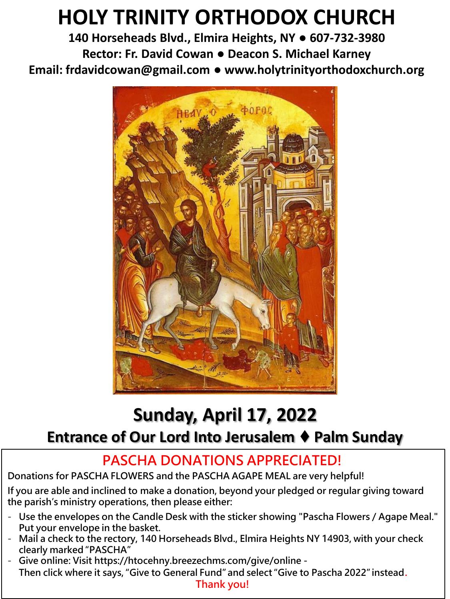# **HOLY TRINITY ORTHODOX CHURCH**

**140 Horseheads Blvd., Elmira Heights, NY ● 607-732-3980 Rector: Fr. David Cowan ● Deacon S. Michael Karney Email: frdavidcowan@gmail.com ● www.holytrinityorthodoxchurch.org**



## **Sunday, April 17, 2022 Entrance of Our Lord Into Jerusalem** ♦ **Palm Sunday**

## **PASCHA DONATIONS APPRECIATED!**

**Donations for PASCHA FLOWERS and the PASCHA AGAPE MEAL are very helpful!**

**If you are able and inclined to make a donation, beyond your pledged or regular giving toward the parish's ministry operations, then please either:**

- **Use the envelopes on the Candle Desk with the sticker showing "Pascha Flowers / Agape Meal." Put your envelope in the basket.**
- **Mail a check to the rectory, 140 Horseheads Blvd., Elmira Heights NY 14903, with your check clearly marked "PASCHA"**
- **Give online: Visit https://htocehny.breezechms.com/give/online - Then click where it says, "Give to General Fund" and select "Give to Pascha 2022" instead. Thank you!**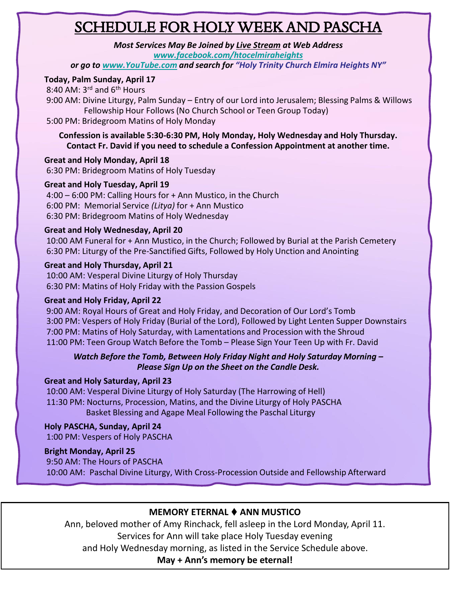### SCHEDULE FOR HOLY WEEK AND PASCHA

*Most Services May Be Joined by Live Stream at Web Address [www.facebook.com/htocelmiraheights](http://www.facebook.com/htocelmiraheights) or go to [www.YouTube.com](http://www.youtube.com/) and search for "Holy Trinity Church Elmira Heights NY"*

#### **Today, Palm Sunday, April 17**

8:40 AM:  $3<sup>rd</sup>$  and  $6<sup>th</sup>$  Hours

9:00 AM: Divine Liturgy, Palm Sunday – Entry of our Lord into Jerusalem; Blessing Palms & Willows Fellowship Hour Follows (No Church School or Teen Group Today)

5:00 PM: Bridegroom Matins of Holy Monday

**Confession is available 5:30-6:30 PM, Holy Monday, Holy Wednesday and Holy Thursday. Contact Fr. David if you need to schedule a Confession Appointment at another time.** 

**Great and Holy Monday, April 18** 6:30 PM: Bridegroom Matins of Holy Tuesday

#### **Great and Holy Tuesday, April 19**

4:00 – 6:00 PM: Calling Hours for + Ann Mustico, in the Church 6:00 PM: Memorial Service *(Litya)* for + Ann Mustico 6:30 PM: Bridegroom Matins of Holy Wednesday

#### **Great and Holy Wednesday, April 20**

10:00 AM Funeral for + Ann Mustico, in the Church; Followed by Burial at the Parish Cemetery 6:30 PM: Liturgy of the Pre-Sanctified Gifts, Followed by Holy Unction and Anointing

#### **Great and Holy Thursday, April 21**

10:00 AM: Vesperal Divine Liturgy of Holy Thursday 6:30 PM: Matins of Holy Friday with the Passion Gospels

#### **Great and Holy Friday, April 22**

9:00 AM: Royal Hours of Great and Holy Friday, and Decoration of Our Lord's Tomb 3:00 PM: Vespers of Holy Friday (Burial of the Lord), Followed by Light Lenten Supper Downstairs 7:00 PM: Matins of Holy Saturday, with Lamentations and Procession with the Shroud 11:00 PM: Teen Group Watch Before the Tomb – Please Sign Your Teen Up with Fr. David

#### *Watch Before the Tomb, Between Holy Friday Night and Holy Saturday Morning – Please Sign Up on the Sheet on the Candle Desk.*

#### **Great and Holy Saturday, April 23**

10:00 AM: Vesperal Divine Liturgy of Holy Saturday (The Harrowing of Hell) 11:30 PM: Nocturns, Procession, Matins, and the Divine Liturgy of Holy PASCHA Basket Blessing and Agape Meal Following the Paschal Liturgy

**Holy PASCHA, Sunday, April 24** 1:00 PM: Vespers of Holy PASCHA

#### **Bright Monday, April 25**

9:50 AM: The Hours of PASCHA

10:00 AM: Paschal Divine Liturgy, With Cross-Procession Outside and Fellowship Afterward

#### **MEMORY ETERNAL** ♦ **ANN MUSTICO**

Ann, beloved mother of Amy Rinchack, fell asleep in the Lord Monday, April 11. Services for Ann will take place Holy Tuesday evening and Holy Wednesday morning, as listed in the Service Schedule above.

**May + Ann's memory be eternal!**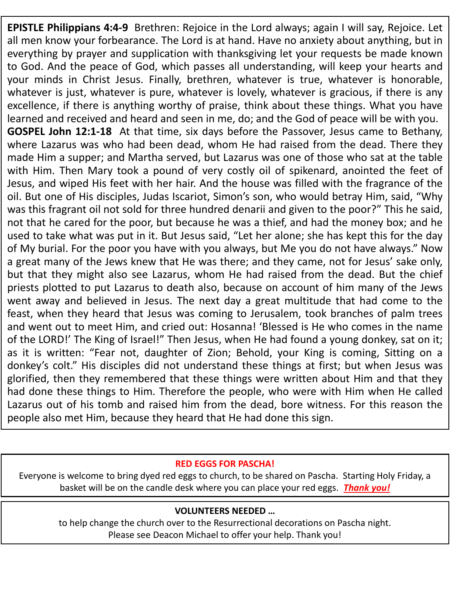**EPISTLE Philippians 4:4-9** Brethren: Rejoice in the Lord always; again I will say, Rejoice. Let all men know your forbearance. The Lord is at hand. Have no anxiety about anything, but in everything by prayer and supplication with thanksgiving let your requests be made known to God. And the peace of God, which passes all understanding, will keep your hearts and your minds in Christ Jesus. Finally, brethren, whatever is true, whatever is honorable, whatever is just, whatever is pure, whatever is lovely, whatever is gracious, if there is any excellence, if there is anything worthy of praise, think about these things. What you have learned and received and heard and seen in me, do; and the God of peace will be with you. **GOSPEL John 12:1-18** At that time, six days before the Passover, Jesus came to Bethany, where Lazarus was who had been dead, whom He had raised from the dead. There they made Him a supper; and Martha served, but Lazarus was one of those who sat at the table with Him. Then Mary took a pound of very costly oil of spikenard, anointed the feet of Jesus, and wiped His feet with her hair. And the house was filled with the fragrance of the oil. But one of His disciples, Judas Iscariot, Simon's son, who would betray Him, said, "Why was this fragrant oil not sold for three hundred denarii and given to the poor?" This he said, not that he cared for the poor, but because he was a thief, and had the money box; and he used to take what was put in it. But Jesus said, "Let her alone; she has kept this for the day of My burial. For the poor you have with you always, but Me you do not have always." Now a great many of the Jews knew that He was there; and they came, not for Jesus' sake only, but that they might also see Lazarus, whom He had raised from the dead. But the chief priests plotted to put Lazarus to death also, because on account of him many of the Jews went away and believed in Jesus. The next day a great multitude that had come to the feast, when they heard that Jesus was coming to Jerusalem, took branches of palm trees and went out to meet Him, and cried out: Hosanna! 'Blessed is He who comes in the name of the LORD!' The King of Israel!" Then Jesus, when He had found a young donkey, sat on it; as it is written: "Fear not, daughter of Zion; Behold, your King is coming, Sitting on a donkey's colt." His disciples did not understand these things at first; but when Jesus was glorified, then they remembered that these things were written about Him and that they had done these things to Him. Therefore the people, who were with Him when He called Lazarus out of his tomb and raised him from the dead, bore witness. For this reason the people also met Him, because they heard that He had done this sign.

#### **RED EGGS FOR PASCHA!**

Everyone is welcome to bring dyed red eggs to church, to be shared on Pascha. Starting Holy Friday, a basket will be on the candle desk where you can place your red eggs. *Thank you!* 

#### **VOLUNTEERS NEEDED …**

to help change the church over to the Resurrectional decorations on Pascha night. Please see Deacon Michael to offer your help. Thank you!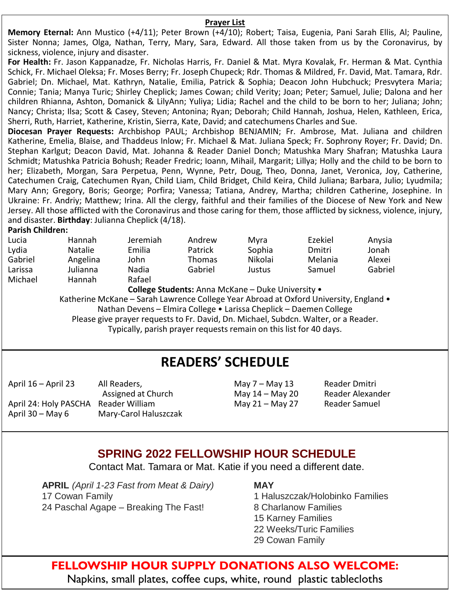#### **Prayer List**

**Memory Eternal:** Ann Mustico (+4/11); Peter Brown (+4/10); Robert; Taisa, Eugenia, Pani Sarah Ellis, Al; Pauline, Sister Nonna; James, Olga, Nathan, Terry, Mary, Sara, Edward. All those taken from us by the Coronavirus, by sickness, violence, injury and disaster.

**For Health:** Fr. Jason Kappanadze, Fr. Nicholas Harris, Fr. Daniel & Mat. Myra Kovalak, Fr. Herman & Mat. Cynthia Schick, Fr. Michael Oleksa; Fr. Moses Berry; Fr. Joseph Chupeck; Rdr. Thomas & Mildred, Fr. David, Mat. Tamara, Rdr. Gabriel; Dn. Michael, Mat. Kathryn, Natalie, Emilia, Patrick & Sophia; Deacon John Hubchuck; Presvytera Maria; Connie; Tania; Manya Turic; Shirley Cheplick; James Cowan; child Verity; Joan; Peter; Samuel, Julie; Dalona and her children Rhianna, Ashton, Domanick & LilyAnn; Yuliya; Lidia; Rachel and the child to be born to her; Juliana; John; Nancy; Christa; Ilsa; Scott & Casey, Steven; Antonina; Ryan; Deborah; Child Hannah, Joshua, Helen, Kathleen, Erica, Sherri, Ruth, Harriet, Katherine, Kristin, Sierra, Kate, David; and catechumens Charles and Sue.

**Diocesan Prayer Requests:** Archbishop PAUL; Archbishop BENJAMIN; Fr. Ambrose, Mat. Juliana and children Katherine, Emelia, Blaise, and Thaddeus Inlow; Fr. Michael & Mat. Juliana Speck; Fr. Sophrony Royer; Fr. David; Dn. Stephan Karlgut; Deacon David, Mat. Johanna & Reader Daniel Donch; Matushka Mary Shafran; Matushka Laura Schmidt; Matushka Patricia Bohush; Reader Fredric; Ioann, Mihail, Margarit; Lillya; Holly and the child to be born to her; Elizabeth, Morgan, Sara Perpetua, Penn, Wynne, Petr, Doug, Theo, Donna, Janet, Veronica, Joy, Catherine, Catechumen Craig, Catechumen Ryan, Child Liam, Child Bridget, Child Keira, Child Juliana; Barbara, Julio; Lyudmila; Mary Ann; Gregory, Boris; George; Porfira; Vanessa; Tatiana, Andrey, Martha; children Catherine, Josephine. In Ukraine: Fr. Andriy; Matthew; Irina. All the clergy, faithful and their families of the Diocese of New York and New Jersey. All those afflicted with the Coronavirus and those caring for them, those afflicted by sickness, violence, injury, and disaster. **Birthday**: Julianna Cheplick (4/18).

#### **Parish Children:**

| Lucia   | Hannah         | Jeremiah | Andrew        | Mvra    | Ezekiel | Anysia  |
|---------|----------------|----------|---------------|---------|---------|---------|
| Lydia   | <b>Natalie</b> | Emilia   | Patrick       | Sophia  | Dmitri  | Jonah   |
| Gabriel | Angelina       | John     | <b>Thomas</b> | Nikolai | Melania | Alexei  |
| Larissa | Julianna       | Nadia    | Gabriel       | Justus  | Samuel  | Gabriel |
| Michael | Hannah         | Rafael   |               |         |         |         |

**College Students:** Anna McKane – Duke University •

Katherine McKane – Sarah Lawrence College Year Abroad at Oxford University, England • Nathan Devens – Elmira College • Larissa Cheplick – Daemen College Please give prayer requests to Fr. David, Dn. Michael, Subdcn. Walter, or a Reader. Typically, parish prayer requests remain on this list for 40 days.

### **READERS' SCHEDULE**

April 16 – April 23 All Readers, Assigned at Church April 24: Holy PASCHA Reader William April 30 – May 6 Mary-Carol Haluszczak May 7 – May 13 Reader Dmitri May 14 – May 20 Reader Alexander May 21 – May 27 Reader Samuel

#### **SPRING 2022 FELLOWSHIP HOUR SCHEDULE**

Contact Mat. Tamara or Mat. Katie if you need a different date.

**APRIL** *(April 1-23 Fast from Meat & Dairy)* 17 Cowan Family 24 Paschal Agape – Breaking The Fast!

#### **MAY**

1 Haluszczak/Holobinko Families 8 Charlanow Families 15 Karney Families 22 Weeks/Turic Families 29 Cowan Family

**FELLOWSHIP HOUR SUPPLY DONATIONS ALSO WELCOME:** Napkins, small plates, coffee cups, white, round plastic tablecloths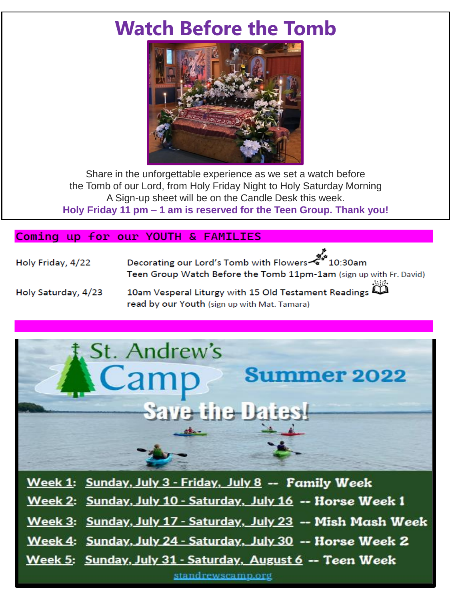## **Watch Before the Tomb**



Share in the unforgettable experience as we set a watch before the Tomb of our Lord, from Holy Friday Night to Holy Saturday Morning A Sign-up sheet will be on the Candle Desk this week. **Holy Friday 11 pm – 1 am is reserved for the Teen Group. Thank you!**

#### Coming up for our YOUTH & FAMILIES

Decorating our Lord's Tomb with Flowers-10:30am Holy Friday, 4/22 Teen Group Watch Before the Tomb 11pm-1am (sign up with Fr. David) 10am Vesperal Liturgy with 15 Old Testament Readings Holy Saturday, 4/23 read by our Youth (sign up with Mat. Tamara)



standrewscamp.org